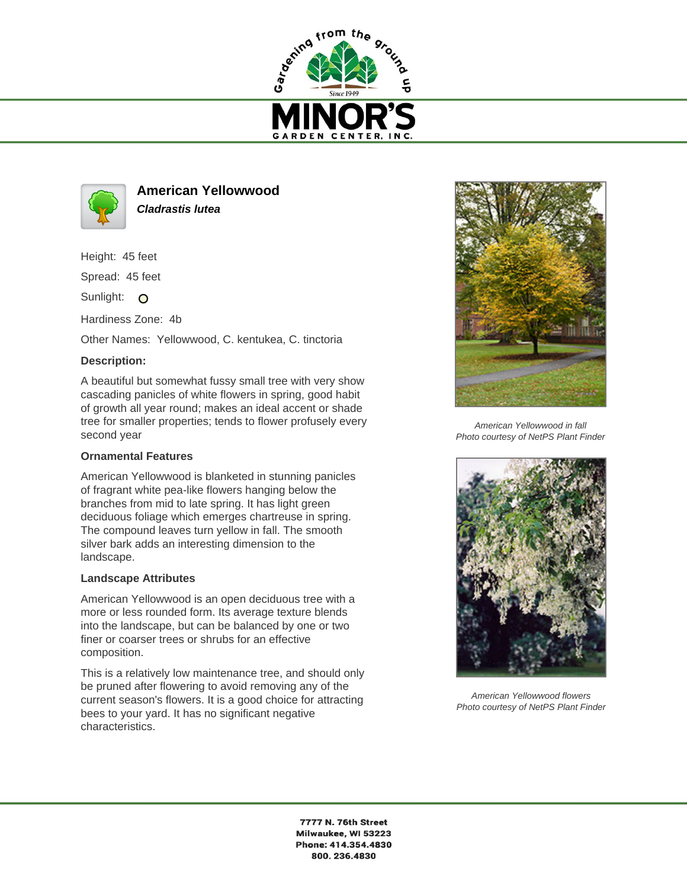



**American Yellowwood Cladrastis lutea**

Height: 45 feet

Spread: 45 feet

Sunlight: O

Hardiness Zone: 4b

Other Names: Yellowwood, C. kentukea, C. tinctoria

## **Description:**

A beautiful but somewhat fussy small tree with very show cascading panicles of white flowers in spring, good habit of growth all year round; makes an ideal accent or shade tree for smaller properties; tends to flower profusely every second year

## **Ornamental Features**

American Yellowwood is blanketed in stunning panicles of fragrant white pea-like flowers hanging below the branches from mid to late spring. It has light green deciduous foliage which emerges chartreuse in spring. The compound leaves turn yellow in fall. The smooth silver bark adds an interesting dimension to the landscape.

## **Landscape Attributes**

American Yellowwood is an open deciduous tree with a more or less rounded form. Its average texture blends into the landscape, but can be balanced by one or two finer or coarser trees or shrubs for an effective composition.

This is a relatively low maintenance tree, and should only be pruned after flowering to avoid removing any of the current season's flowers. It is a good choice for attracting bees to your yard. It has no significant negative characteristics.



American Yellowwood in fall Photo courtesy of NetPS Plant Finder



American Yellowwood flowers Photo courtesy of NetPS Plant Finder

7777 N. 76th Street Milwaukee, WI 53223 Phone: 414.354.4830 800.236.4830